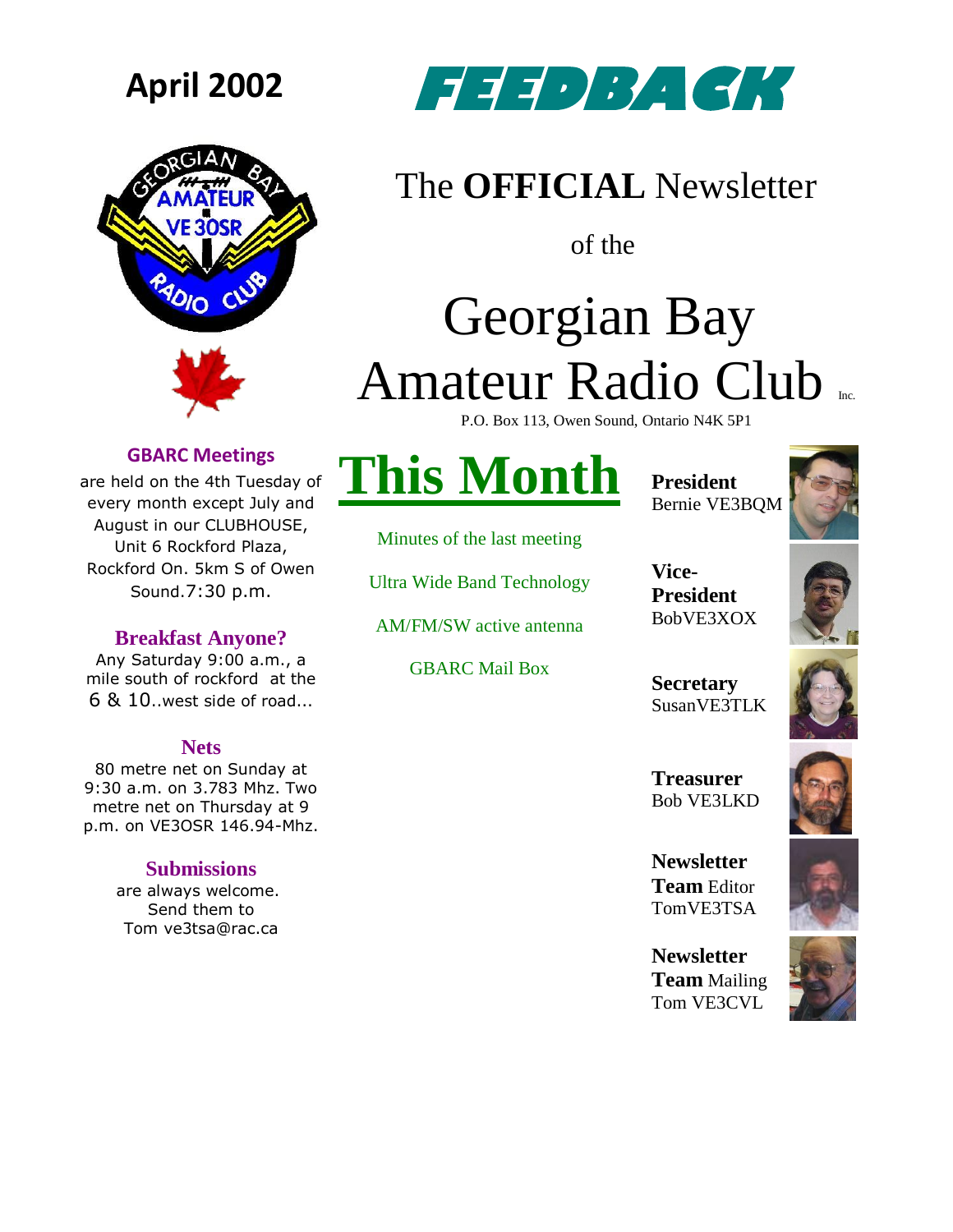



## **April 2002 FEED BACK**

## The **OFFICIAL** Newsletter

of the

# Georgian Bay Amateur Radio Club

P.O. Box 113, Owen Sound, Ontario N4K 5P1

### **GBARC Meetings**

are held on the 4th Tuesday of every month except July and August in our CLUBHOUSE, Unit 6 Rockford Plaza, Rockford On. 5km S of Owen Sound.7:30 p.m.

### **Breakfast Anyone?**

Any Saturday 9:00 a.m., a mile south of rockford at the 6 & 10..west side of road...

### **Nets**

80 metre net on Sunday at 9:30 a.m. on 3.783 Mhz. Two metre net on Thursday at 9 p.m. on VE3OSR 146.94-Mhz.

### **Submissions**

are always welcome. Send them to Tom ve3tsa@rac.ca

## **This Month**

Minutes of the last meeting

Ultra Wide Band Technology

AM/FM/SW active antenna

GBARC Mail Box

**President** Bernie VE3BQM

**Vice-President** BobVE3XOX



**Secretary** SusanVE3TLK



**Treasurer** Bob VE3LKD

**Newsletter Team** Editor TomVE3TSA

**Newsletter Team** Mailing Tom VE3CVL

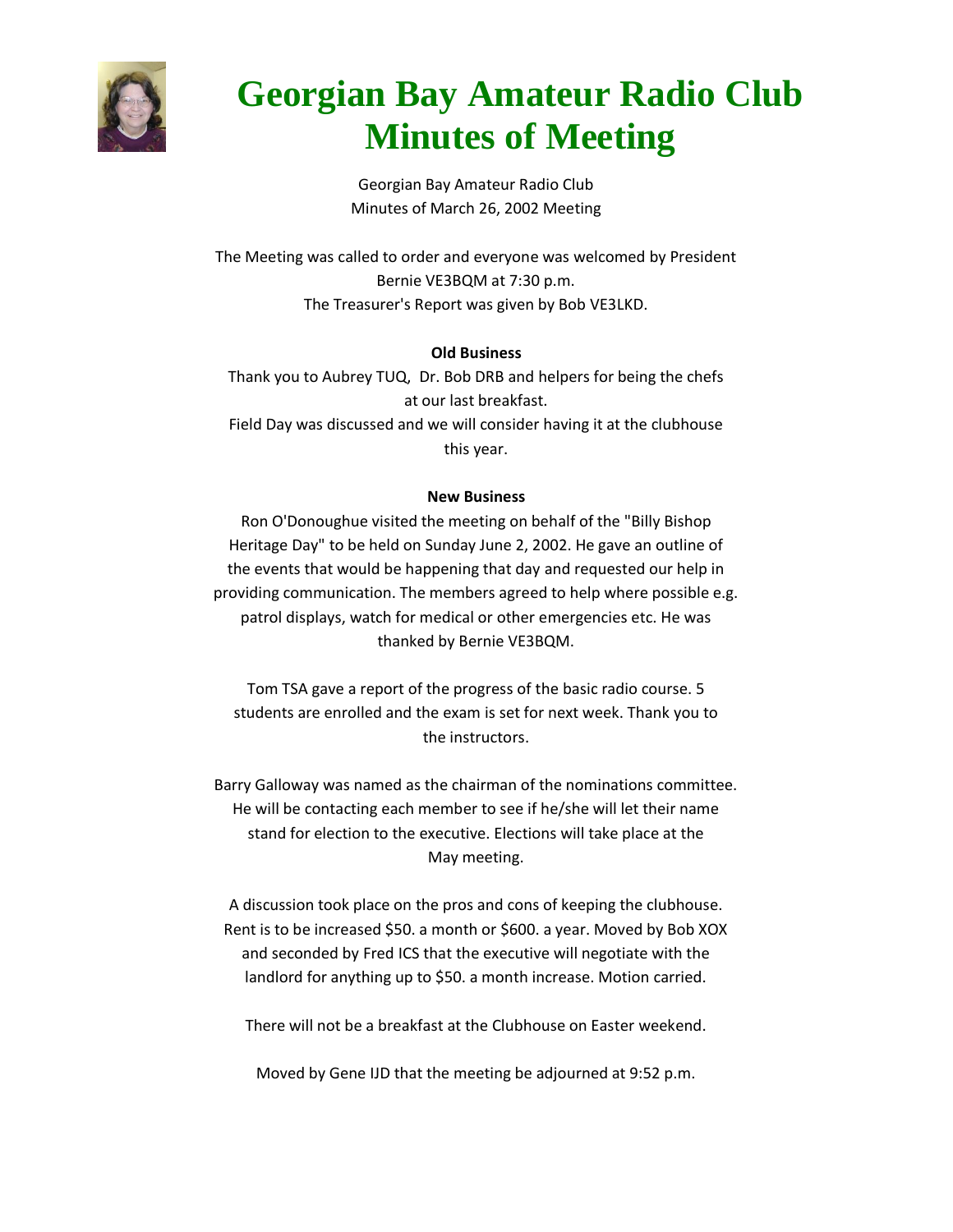

## **Georgian Bay Amateur Radio Club Minutes of Meeting**

Georgian Bay Amateur Radio Club Minutes of March 26, 2002 Meeting

The Meeting was called to order and everyone was welcomed by President Bernie VE3BQM at 7:30 p.m. The Treasurer's Report was given by Bob VE3LKD.

### **Old Business**

Thank you to Aubrey TUQ, Dr. Bob DRB and helpers for being the chefs at our last breakfast. Field Day was discussed and we will consider having it at the clubhouse

this year.

#### **New Business**

Ron O'Donoughue visited the meeting on behalf of the "Billy Bishop Heritage Day" to be held on Sunday June 2, 2002. He gave an outline of the events that would be happening that day and requested our help in providing communication. The members agreed to help where possible e.g. patrol displays, watch for medical or other emergencies etc. He was thanked by Bernie VE3BQM.

Tom TSA gave a report of the progress of the basic radio course. 5 students are enrolled and the exam is set for next week. Thank you to the instructors.

Barry Galloway was named as the chairman of the nominations committee. He will be contacting each member to see if he/she will let their name stand for election to the executive. Elections will take place at the May meeting.

A discussion took place on the pros and cons of keeping the clubhouse. Rent is to be increased \$50. a month or \$600. a year. Moved by Bob XOX and seconded by Fred ICS that the executive will negotiate with the landlord for anything up to \$50. a month increase. Motion carried.

There will not be a breakfast at the Clubhouse on Easter weekend.

Moved by Gene IJD that the meeting be adjourned at 9:52 p.m.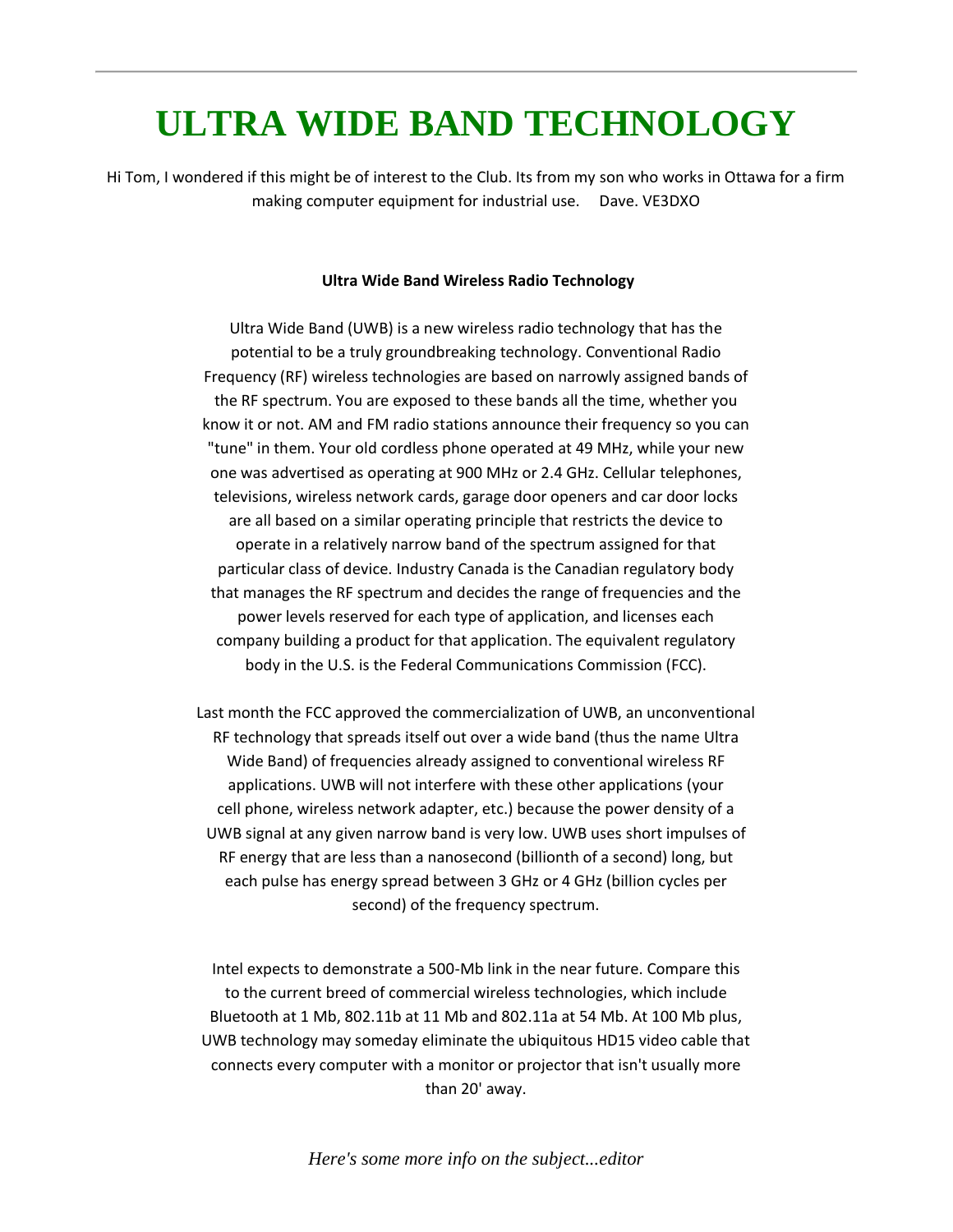### **ULTRA WIDE BAND TECHNOLOGY**

Hi Tom, I wondered if this might be of interest to the Club. Its from my son who works in Ottawa for a firm making computer equipment for industrial use. Dave. VE3DXO

#### **Ultra Wide Band Wireless Radio Technology**

Ultra Wide Band (UWB) is a new wireless radio technology that has the potential to be a truly groundbreaking technology. Conventional Radio Frequency (RF) wireless technologies are based on narrowly assigned bands of the RF spectrum. You are exposed to these bands all the time, whether you know it or not. AM and FM radio stations announce their frequency so you can "tune" in them. Your old cordless phone operated at 49 MHz, while your new one was advertised as operating at 900 MHz or 2.4 GHz. Cellular telephones, televisions, wireless network cards, garage door openers and car door locks are all based on a similar operating principle that restricts the device to operate in a relatively narrow band of the spectrum assigned for that particular class of device. Industry Canada is the Canadian regulatory body that manages the RF spectrum and decides the range of frequencies and the power levels reserved for each type of application, and licenses each company building a product for that application. The equivalent regulatory body in the U.S. is the Federal Communications Commission (FCC).

Last month the FCC approved the commercialization of UWB, an unconventional RF technology that spreads itself out over a wide band (thus the name Ultra Wide Band) of frequencies already assigned to conventional wireless RF applications. UWB will not interfere with these other applications (your cell phone, wireless network adapter, etc.) because the power density of a UWB signal at any given narrow band is very low. UWB uses short impulses of RF energy that are less than a nanosecond (billionth of a second) long, but each pulse has energy spread between 3 GHz or 4 GHz (billion cycles per second) of the frequency spectrum.

Intel expects to demonstrate a 500-Mb link in the near future. Compare this to the current breed of commercial wireless technologies, which include Bluetooth at 1 Mb, 802.11b at 11 Mb and 802.11a at 54 Mb. At 100 Mb plus, UWB technology may someday eliminate the ubiquitous HD15 video cable that connects every computer with a monitor or projector that isn't usually more than 20' away.

*Here's some more info on the subject...editor*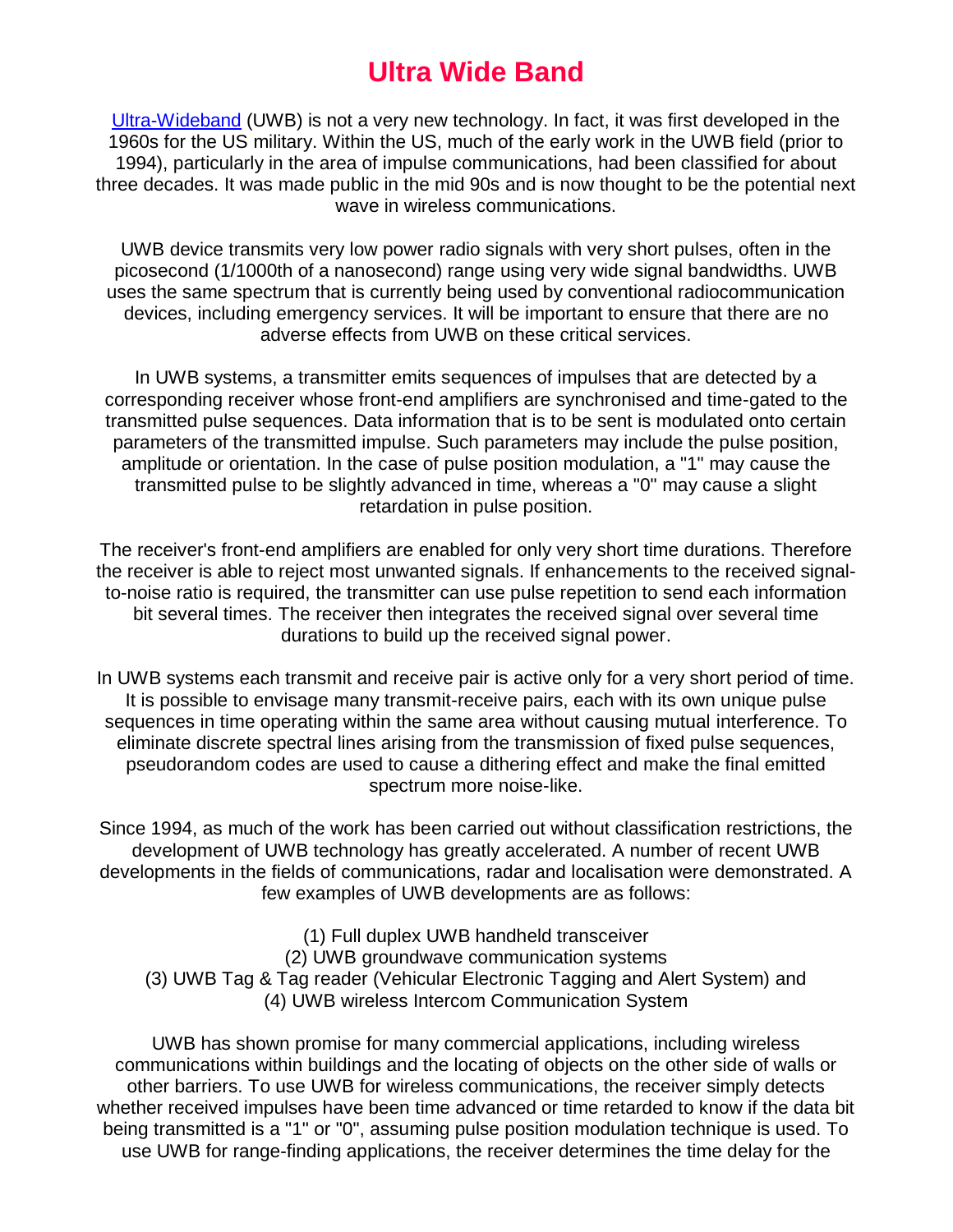### **Ultra Wide Band**

[Ultra-Wideband](http://www.ida.gov.sg/Website/IDAContent.nsf/dd1521f1e79ecf3bc825682f0045a340/1856626048baf403c825698800267e26?OpenDocument) (UWB) is not a very new technology. In fact, it was first developed in the 1960s for the US military. Within the US, much of the early work in the UWB field (prior to 1994), particularly in the area of impulse communications, had been classified for about three decades. It was made public in the mid 90s and is now thought to be the potential next wave in wireless communications.

UWB device transmits very low power radio signals with very short pulses, often in the picosecond (1/1000th of a nanosecond) range using very wide signal bandwidths. UWB uses the same spectrum that is currently being used by conventional radiocommunication devices, including emergency services. It will be important to ensure that there are no adverse effects from UWB on these critical services.

In UWB systems, a transmitter emits sequences of impulses that are detected by a corresponding receiver whose front-end amplifiers are synchronised and time-gated to the transmitted pulse sequences. Data information that is to be sent is modulated onto certain parameters of the transmitted impulse. Such parameters may include the pulse position, amplitude or orientation. In the case of pulse position modulation, a "1" may cause the transmitted pulse to be slightly advanced in time, whereas a "0" may cause a slight retardation in pulse position.

The receiver's front-end amplifiers are enabled for only very short time durations. Therefore the receiver is able to reject most unwanted signals. If enhancements to the received signalto-noise ratio is required, the transmitter can use pulse repetition to send each information bit several times. The receiver then integrates the received signal over several time durations to build up the received signal power.

In UWB systems each transmit and receive pair is active only for a very short period of time. It is possible to envisage many transmit-receive pairs, each with its own unique pulse sequences in time operating within the same area without causing mutual interference. To eliminate discrete spectral lines arising from the transmission of fixed pulse sequences, pseudorandom codes are used to cause a dithering effect and make the final emitted spectrum more noise-like.

Since 1994, as much of the work has been carried out without classification restrictions, the development of UWB technology has greatly accelerated. A number of recent UWB developments in the fields of communications, radar and localisation were demonstrated. A few examples of UWB developments are as follows:

(1) Full duplex UWB handheld transceiver (2) UWB groundwave communication systems (3) UWB Tag & Tag reader (Vehicular Electronic Tagging and Alert System) and (4) UWB wireless Intercom Communication System

UWB has shown promise for many commercial applications, including wireless communications within buildings and the locating of objects on the other side of walls or other barriers. To use UWB for wireless communications, the receiver simply detects whether received impulses have been time advanced or time retarded to know if the data bit being transmitted is a "1" or "0", assuming pulse position modulation technique is used. To use UWB for range-finding applications, the receiver determines the time delay for the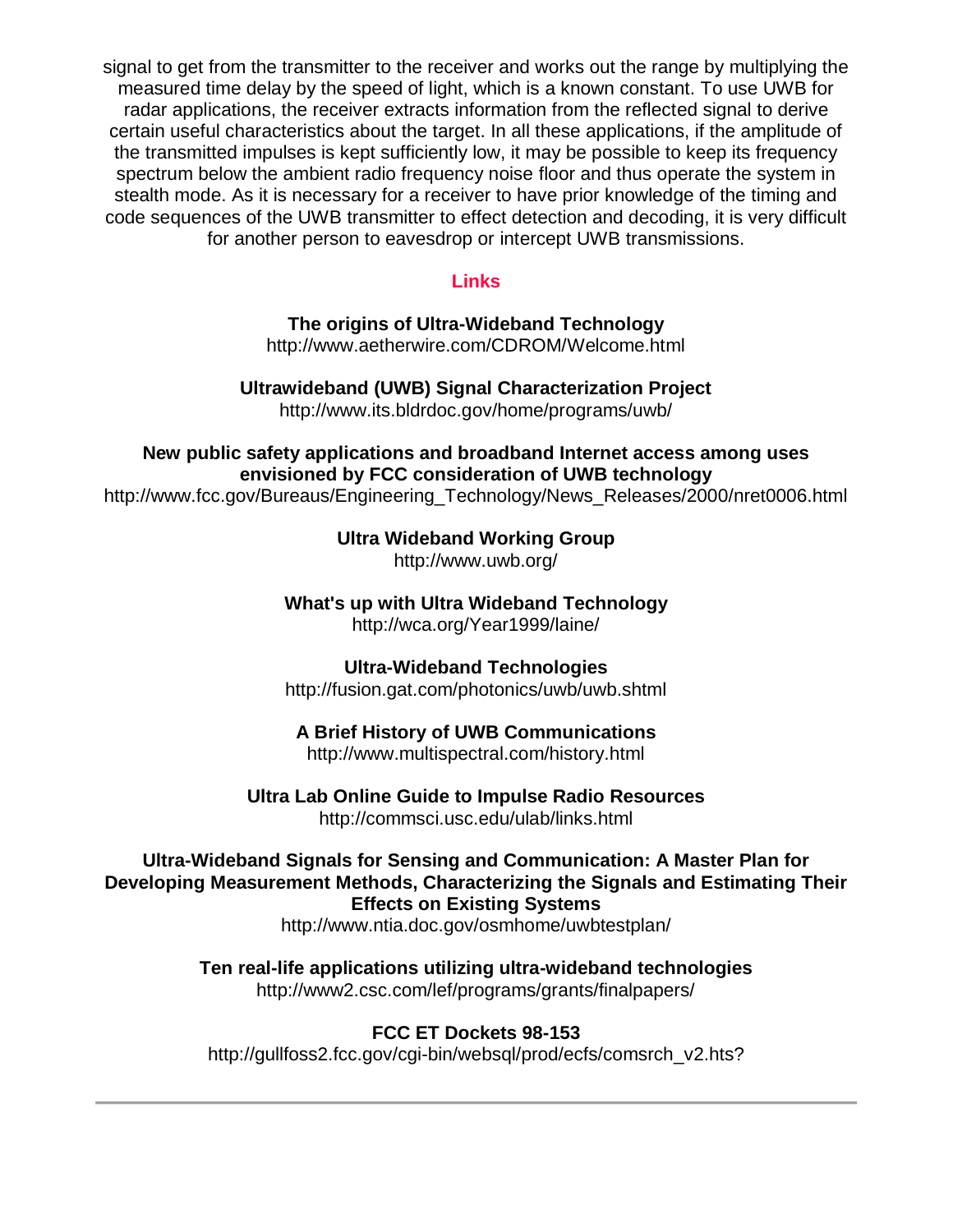signal to get from the transmitter to the receiver and works out the range by multiplying the measured time delay by the speed of light, which is a known constant. To use UWB for radar applications, the receiver extracts information from the reflected signal to derive certain useful characteristics about the target. In all these applications, if the amplitude of the transmitted impulses is kept sufficiently low, it may be possible to keep its frequency spectrum below the ambient radio frequency noise floor and thus operate the system in stealth mode. As it is necessary for a receiver to have prior knowledge of the timing and code sequences of the UWB transmitter to effect detection and decoding, it is very difficult for another person to eavesdrop or intercept UWB transmissions.

### **Links**

**The origins of Ultra-Wideband Technology**  http://www.aetherwire.com/CDROM/Welcome.html

**Ultrawideband (UWB) Signal Characterization Project** http://www.its.bldrdoc.gov/home/programs/uwb/

**New public safety applications and broadband Internet access among uses envisioned by FCC consideration of UWB technology**

http://www.fcc.gov/Bureaus/Engineering\_Technology/News\_Releases/2000/nret0006.html

**Ultra Wideband Working Group** 

http://www.uwb.org/

**What's up with Ultra Wideband Technology** http://wca.org/Year1999/laine/

**Ultra-Wideband Technologies**

http://fusion.gat.com/photonics/uwb/uwb.shtml

**A Brief History of UWB Communications** 

http://www.multispectral.com/history.html

**Ultra Lab Online Guide to Impulse Radio Resources**  http://commsci.usc.edu/ulab/links.html

**Ultra-Wideband Signals for Sensing and Communication: A Master Plan for Developing Measurement Methods, Characterizing the Signals and Estimating Their Effects on Existing Systems**

http://www.ntia.doc.gov/osmhome/uwbtestplan/

**Ten real-life applications utilizing ultra-wideband technologies**  http://www2.csc.com/lef/programs/grants/finalpapers/

### **FCC ET Dockets 98-153**

http://gullfoss2.fcc.gov/cgi-bin/websgl/prod/ecfs/comsrch\_v2.hts?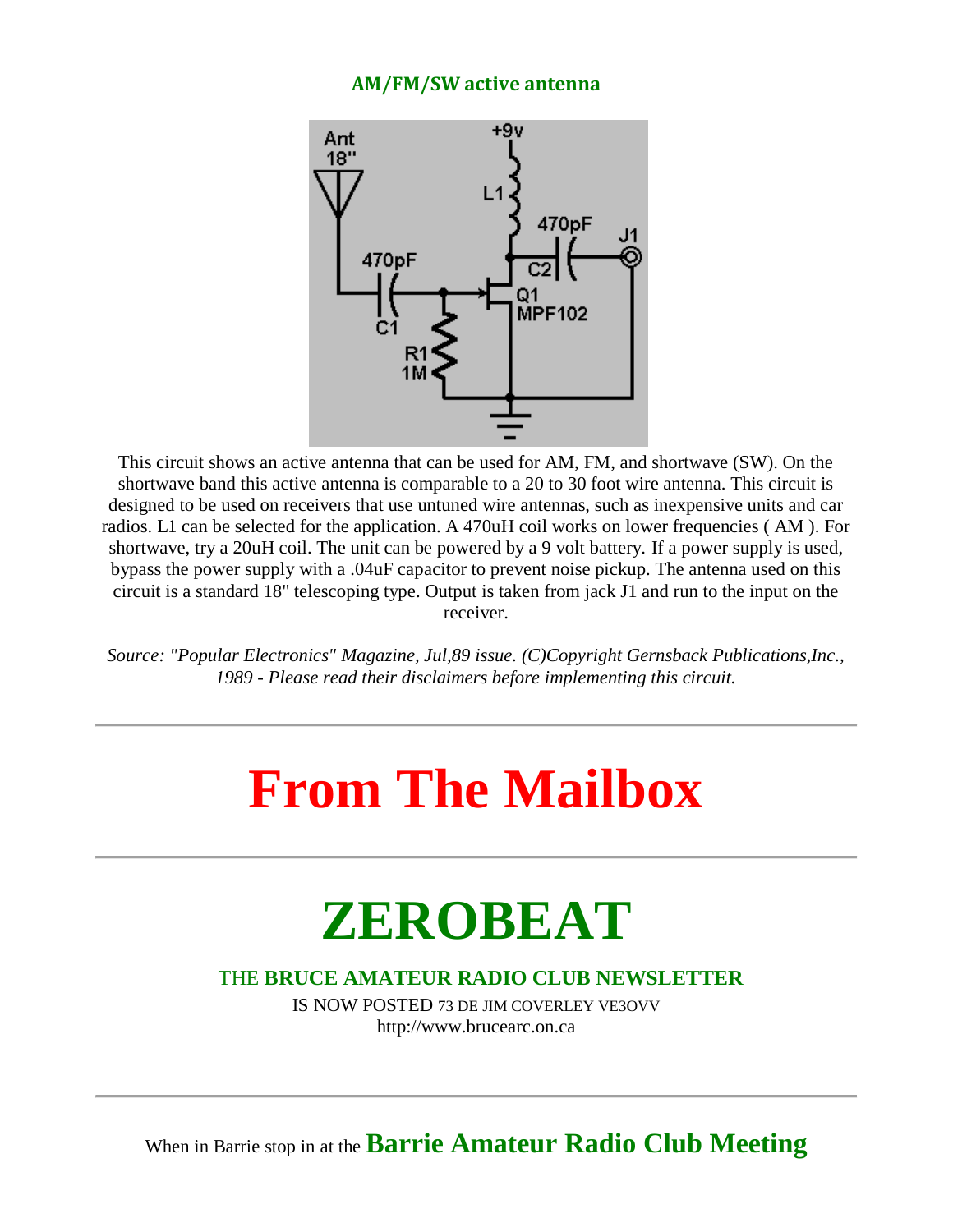### **AM/FM/SW active antenna**



This circuit shows an active antenna that can be used for AM, FM, and shortwave (SW). On the shortwave band this active antenna is comparable to a 20 to 30 foot wire antenna. This circuit is designed to be used on receivers that use untuned wire antennas, such as inexpensive units and car radios. L1 can be selected for the application. A 470uH coil works on lower frequencies ( AM ). For shortwave, try a 20uH coil. The unit can be powered by a 9 volt battery. If a power supply is used, bypass the power supply with a .04uF capacitor to prevent noise pickup. The antenna used on this circuit is a standard 18" telescoping type. Output is taken from jack J1 and run to the input on the receiver.

*Source: "Popular Electronics" Magazine, Jul,89 issue. (C)Copyright Gernsback Publications,Inc., 1989 - Please read their disclaimers before implementing this circuit.* 

## **From The Mailbox**

## **ZEROBEAT**

### THE **BRUCE AMATEUR RADIO CLUB NEWSLETTER**

IS NOW POSTED 73 DE JIM COVERLEY VE3OVV http://www.brucearc.on.ca

When in Barrie stop in at the **Barrie Amateur Radio Club Meeting**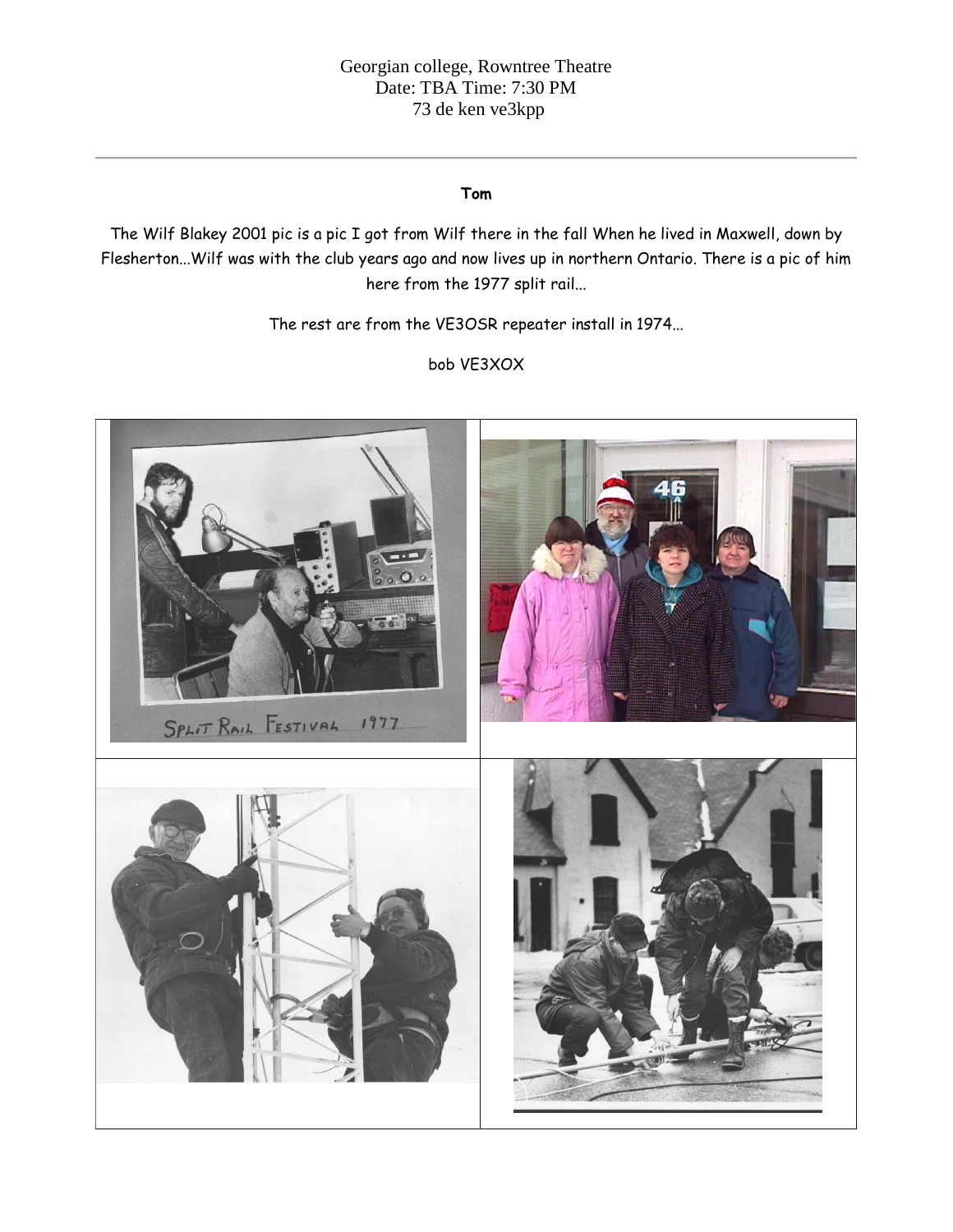#### **Tom**

The Wilf Blakey 2001 pic is a pic I got from Wilf there in the fall When he lived in Maxwell, down by Flesherton...Wilf was with the club years ago and now lives up in northern Ontario. There is a pic of him here from the 1977 split rail...

The rest are from the VE3OSR repeater install in 1974...

bob VE3XOX